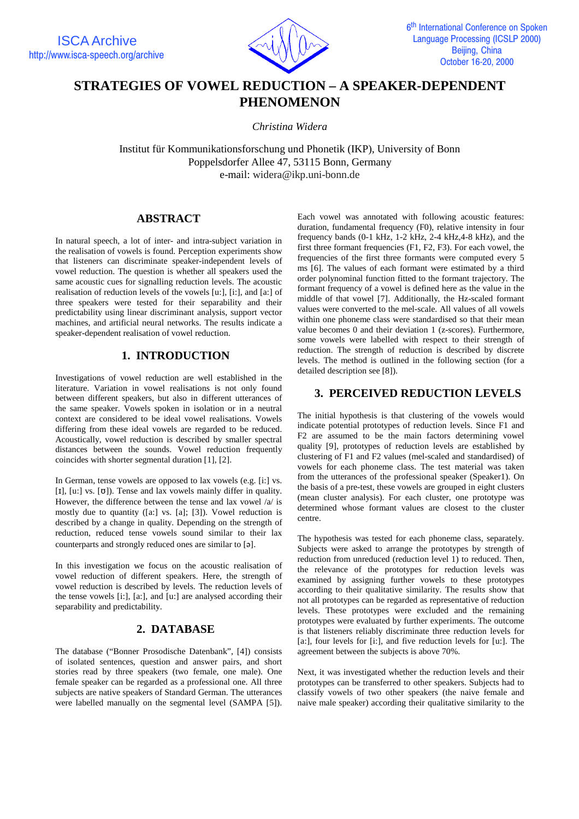

# **STRATEGIES OF VOWEL REDUCTION – A SPEAKER-DEPENDENT PHENOMENON**

*Christina Widera*

Institut für Kommunikationsforschung und Phonetik (IKP), University of Bonn Poppelsdorfer Allee 47, 53115 Bonn, Germany e-mail: widera@ikp.uni-bonn.de

### **ABSTRACT**

In natural speech, a lot of inter- and intra-subject variation in the realisation of vowels is found. Perception experiments show that listeners can discriminate speaker-independent levels of vowel reduction. The question is whether all speakers used the same acoustic cues for signalling reduction levels. The acoustic realisation of reduction levels of the vowels [u:], [i:], and [a:] of three speakers were tested for their separability and their predictability using linear discriminant analysis, support vector machines, and artificial neural networks. The results indicate a speaker-dependent realisation of vowel reduction.

# **1. INTRODUCTION**

Investigations of vowel reduction are well established in the literature. Variation in vowel realisations is not only found between different speakers, but also in different utterances of the same speaker. Vowels spoken in isolation or in a neutral context are considered to be ideal vowel realisations. Vowels differing from these ideal vowels are regarded to be reduced. Acoustically, vowel reduction is described by smaller spectral distances between the sounds. Vowel reduction frequently coincides with shorter segmental duration [1], [2].

In German, tense vowels are opposed to lax vowels (e.g. [i:] vs. [ $I$ ], [ $u$ :] vs. [ $\sigma$ ]). Tense and lax vowels mainly differ in quality. However, the difference between the tense and lax vowel /a/ is mostly due to quantity ([a:] vs. [a]; [3]). Vowel reduction is described by a change in quality. Depending on the strength of reduction, reduced tense vowels sound similar to their lax counterparts and strongly reduced ones are similar to [a].

In this investigation we focus on the acoustic realisation of vowel reduction of different speakers. Here, the strength of vowel reduction is described by levels. The reduction levels of the tense vowels [i:], [a:], and [u:] are analysed according their separability and predictability.

# **2. DATABASE**

The database ("Bonner Prosodische Datenbank", [4]) consists of isolated sentences, question and answer pairs, and short stories read by three speakers (two female, one male). One female speaker can be regarded as a professional one. All three subjects are native speakers of Standard German. The utterances were labelled manually on the segmental level (SAMPA [5]). Each vowel was annotated with following acoustic features: duration, fundamental frequency (F0), relative intensity in four frequency bands  $(0-1 \text{ kHz}, 1-2 \text{ kHz}, 2-4 \text{ kHz}, 4-8 \text{ kHz})$ , and the first three formant frequencies (F1, F2, F3). For each vowel, the frequencies of the first three formants were computed every 5 ms [6]. The values of each formant were estimated by a third order polynominal function fitted to the formant trajectory. The formant frequency of a vowel is defined here as the value in the middle of that vowel [7]. Additionally, the Hz-scaled formant values were converted to the mel-scale. All values of all vowels within one phoneme class were standardised so that their mean value becomes 0 and their deviation 1 (z-scores). Furthermore, some vowels were labelled with respect to their strength of reduction. The strength of reduction is described by discrete levels. The method is outlined in the following section (for a detailed description see [8]).

# **3. PERCEIVED REDUCTION LEVELS**

The initial hypothesis is that clustering of the vowels would indicate potential prototypes of reduction levels. Since F1 and F2 are assumed to be the main factors determining vowel quality [9], prototypes of reduction levels are established by clustering of F1 and F2 values (mel-scaled and standardised) of vowels for each phoneme class. The test material was taken from the utterances of the professional speaker (Speaker1). On the basis of a pre-test, these vowels are grouped in eight clusters (mean cluster analysis). For each cluster, one prototype was determined whose formant values are closest to the cluster centre.

The hypothesis was tested for each phoneme class, separately. Subjects were asked to arrange the prototypes by strength of reduction from unreduced (reduction level 1) to reduced. Then, the relevance of the prototypes for reduction levels was examined by assigning further vowels to these prototypes according to their qualitative similarity. The results show that not all prototypes can be regarded as representative of reduction levels. These prototypes were excluded and the remaining prototypes were evaluated by further experiments. The outcome is that listeners reliably discriminate three reduction levels for [a:], four levels for [i:], and five reduction levels for [u:]. The agreement between the subjects is above 70%.

Next, it was investigated whether the reduction levels and their prototypes can be transferred to other speakers. Subjects had to classify vowels of two other speakers (the naive female and naive male speaker) according their qualitative similarity to the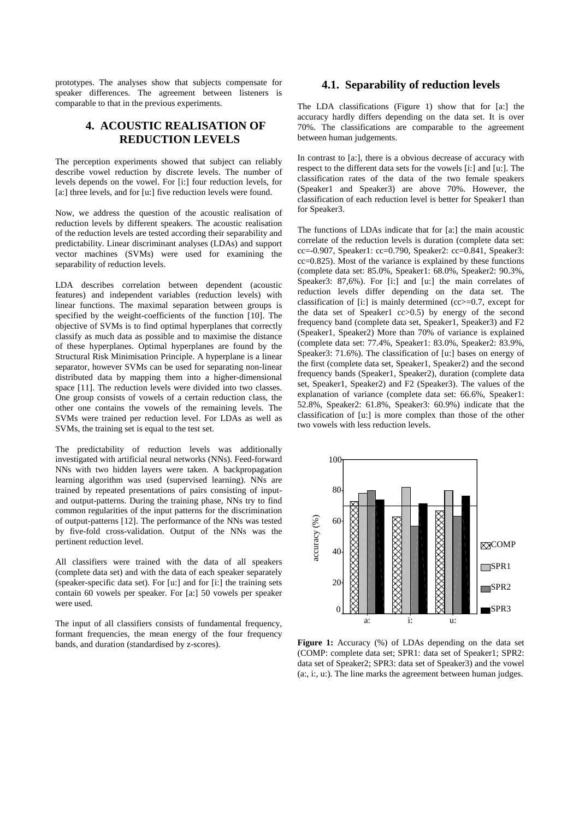prototypes. The analyses show that subjects compensate for speaker differences. The agreement between listeners is comparable to that in the previous experiments.

# **4. ACOUSTIC REALISATION OF REDUCTION LEVELS**

The perception experiments showed that subject can reliably describe vowel reduction by discrete levels. The number of levels depends on the vowel. For [i:] four reduction levels, for [a:] three levels, and for [u:] five reduction levels were found.

Now, we address the question of the acoustic realisation of reduction levels by different speakers. The acoustic realisation of the reduction levels are tested according their separability and predictability. Linear discriminant analyses (LDAs) and support vector machines (SVMs) were used for examining the separability of reduction levels.

LDA describes correlation between dependent (acoustic features) and independent variables (reduction levels) with linear functions. The maximal separation between groups is specified by the weight-coefficients of the function [10]. The objective of SVMs is to find optimal hyperplanes that correctly classify as much data as possible and to maximise the distance of these hyperplanes. Optimal hyperplanes are found by the Structural Risk Minimisation Principle. A hyperplane is a linear separator, however SVMs can be used for separating non-linear distributed data by mapping them into a higher-dimensional space [11]. The reduction levels were divided into two classes. One group consists of vowels of a certain reduction class, the other one contains the vowels of the remaining levels. The SVMs were trained per reduction level. For LDAs as well as SVMs, the training set is equal to the test set.

The predictability of reduction levels was additionally investigated with artificial neural networks (NNs). Feed-forward NNs with two hidden layers were taken. A backpropagation learning algorithm was used (supervised learning). NNs are trained by repeated presentations of pairs consisting of inputand output-patterns. During the training phase, NNs try to find common regularities of the input patterns for the discrimination of output-patterns [12]. The performance of the NNs was tested by five-fold cross-validation. Output of the NNs was the pertinent reduction level.

All classifiers were trained with the data of all speakers (complete data set) and with the data of each speaker separately (speaker-specific data set). For [u:] and for [i:] the training sets contain 60 vowels per speaker. For [a:] 50 vowels per speaker were used.

The input of all classifiers consists of fundamental frequency, formant frequencies, the mean energy of the four frequency bands, and duration (standardised by z-scores).

#### **4.1. Separability of reduction levels**

The LDA classifications (Figure 1) show that for [a:] the accuracy hardly differs depending on the data set. It is over 70%. The classifications are comparable to the agreement between human judgements.

In contrast to [a:], there is a obvious decrease of accuracy with respect to the different data sets for the vowels [i:] and [u:]. The classification rates of the data of the two female speakers (Speaker1 and Speaker3) are above 70%. However, the classification of each reduction level is better for Speaker1 than for Speaker3.

The functions of LDAs indicate that for [a:] the main acoustic correlate of the reduction levels is duration (complete data set: cc=-0.907, Speaker1: cc=0.790, Speaker2: cc=0.841, Speaker3: cc=0.825). Most of the variance is explained by these functions (complete data set: 85.0%, Speaker1: 68.0%, Speaker2: 90.3%, Speaker3: 87,6%). For [i:] and [u:] the main correlates of reduction levels differ depending on the data set. The classification of [i:] is mainly determined (cc>=0.7, except for the data set of Speaker1 cc>0.5) by energy of the second frequency band (complete data set, Speaker1, Speaker3) and F2 (Speaker1, Speaker2) More than 70% of variance is explained (complete data set: 77.4%, Speaker1: 83.0%, Speaker2: 83.9%, Speaker3: 71.6%). The classification of [u:] bases on energy of the first (complete data set, Speaker1, Speaker2) and the second frequency bands (Speaker1, Speaker2), duration (complete data set, Speaker1, Speaker2) and F2 (Speaker3). The values of the explanation of variance (complete data set: 66.6%, Speaker1: 52.8%, Speaker2: 61.8%, Speaker3: 60.9%) indicate that the classification of [u:] is more complex than those of the other two vowels with less reduction levels.



**Figure 1:** Accuracy (%) of LDAs depending on the data set (COMP: complete data set; SPR1: data set of Speaker1; SPR2: data set of Speaker2; SPR3: data set of Speaker3) and the vowel (a:, i:, u:). The line marks the agreement between human judges.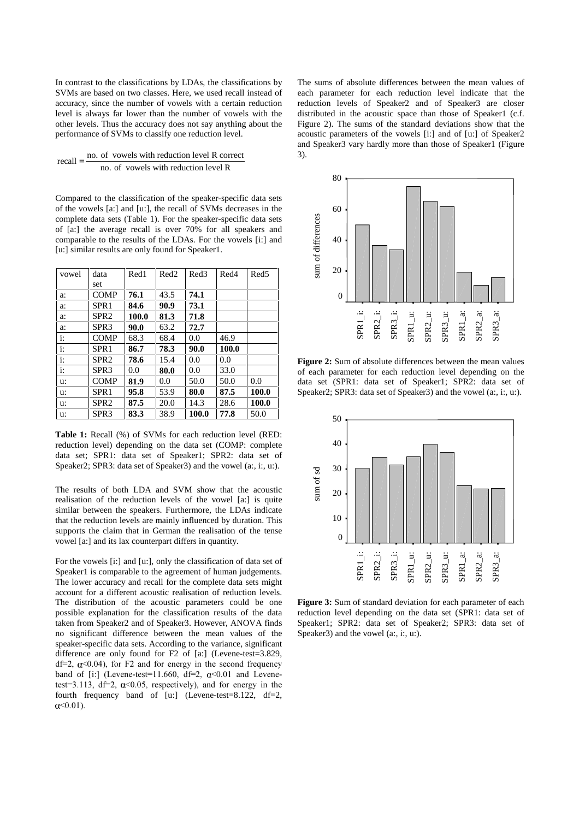In contrast to the classifications by LDAs, the classifications by SVMs are based on two classes. Here, we used recall instead of accuracy, since the number of vowels with a certain reduction level is always far lower than the number of vowels with the other levels. Thus the accuracy does not say anything about the performance of SVMs to classify one reduction level.

$$
recall = \frac{no. \text{ of vowels with reduction level R correct}}{no. \text{ of vowels with reduction level R}}
$$

Compared to the classification of the speaker-specific data sets of the vowels [a:] and [u:], the recall of SVMs decreases in the complete data sets (Table 1). For the speaker-specific data sets of [a:] the average recall is over 70% for all speakers and comparable to the results of the LDAs. For the vowels [i:] and [u:] similar results are only found for Speaker1.

| vowel        | data             | Red1  | Red <sub>2</sub> | Red3  | Red4  | Red <sub>5</sub> |
|--------------|------------------|-------|------------------|-------|-------|------------------|
|              | set              |       |                  |       |       |                  |
| a:           | <b>COMP</b>      | 76.1  | 43.5             | 74.1  |       |                  |
| a:           | SPR <sub>1</sub> | 84.6  | 90.9             | 73.1  |       |                  |
| a:           | SPR <sub>2</sub> | 100.0 | 81.3             | 71.8  |       |                  |
| a:           | SPR <sub>3</sub> | 90.0  | 63.2             | 72.7  |       |                  |
| $\ddot{i}$ : | <b>COMP</b>      | 68.3  | 68.4             | 0.0   | 46.9  |                  |
| $\ddot{i}$ : | SPR <sub>1</sub> | 86.7  | 78.3             | 90.0  | 100.0 |                  |
| $\ddot{i}$ : | SPR2             | 78.6  | 15.4             | 0.0   | 0.0   |                  |
| $\ddot{i}$ : | SPR <sub>3</sub> | 0.0   | 80.0             | 0.0   | 33.0  |                  |
| u:           | <b>COMP</b>      | 81.9  | 0.0              | 50.0  | 50.0  | 0.0              |
| u:           | SPR1             | 95.8  | 53.9             | 80.0  | 87.5  | 100.0            |
| u:           | SPR <sub>2</sub> | 87.5  | 20.0             | 14.3  | 28.6  | 100.0            |
| u:           | SPR <sub>3</sub> | 83.3  | 38.9             | 100.0 | 77.8  | 50.0             |

**Table 1:** Recall (%) of SVMs for each reduction level (RED: reduction level) depending on the data set (COMP: complete data set; SPR1: data set of Speaker1; SPR2: data set of Speaker2; SPR3: data set of Speaker3) and the vowel (a:, i:, u:).

The results of both LDA and SVM show that the acoustic realisation of the reduction levels of the vowel [a:] is quite similar between the speakers. Furthermore, the LDAs indicate that the reduction levels are mainly influenced by duration. This supports the claim that in German the realisation of the tense vowel [a:] and its lax counterpart differs in quantity.

For the vowels [i:] and [u:], only the classification of data set of Speaker1 is comparable to the agreement of human judgements. The lower accuracy and recall for the complete data sets might account for a different acoustic realisation of reduction levels. The distribution of the acoustic parameters could be one possible explanation for the classification results of the data taken from Speaker2 and of Speaker3. However, ANOVA finds no significant difference between the mean values of the speaker-specific data sets. According to the variance, significant difference are only found for F2 of [a:] (Levene-test=3.829, df=2,  $\alpha$ <0.04), for F2 and for energy in the second frequency band of [i:] (Levene-test=11.660, df=2,  $\alpha$ <0.01 and Levenetest=3.113, df=2,  $\alpha$ <0.05, respectively), and for energy in the fourth frequency band of [u:] (Levene-test=8.122, df=2,  $\alpha$  < 0.01).

The sums of absolute differences between the mean values of each parameter for each reduction level indicate that the reduction levels of Speaker2 and of Speaker3 are closer distributed in the acoustic space than those of Speaker1 (c.f. Figure 2). The sums of the standard deviations show that the acoustic parameters of the vowels [i:] and of [u:] of Speaker2 and Speaker3 vary hardly more than those of Speaker1 (Figure 3).



**Figure 2:** Sum of absolute differences between the mean values of each parameter for each reduction level depending on the data set (SPR1: data set of Speaker1; SPR2: data set of Speaker2; SPR3: data set of Speaker3) and the vowel (a:, i:, u:).



**Figure 3:** Sum of standard deviation for each parameter of each reduction level depending on the data set (SPR1: data set of Speaker1; SPR2: data set of Speaker2; SPR3: data set of Speaker3) and the vowel (a:, i:, u:).